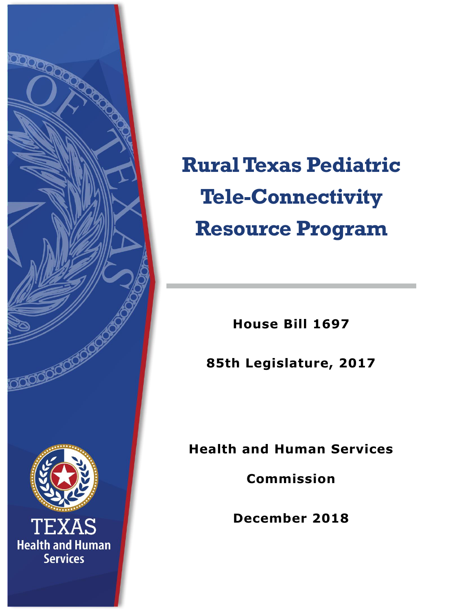

**Rural Texas Pediatric Tele-Connectivity Resource Program**

**House Bill 1697**

**85th Legislature, 2017**

**Health and Human Services** 

**Commission**

**December 2018**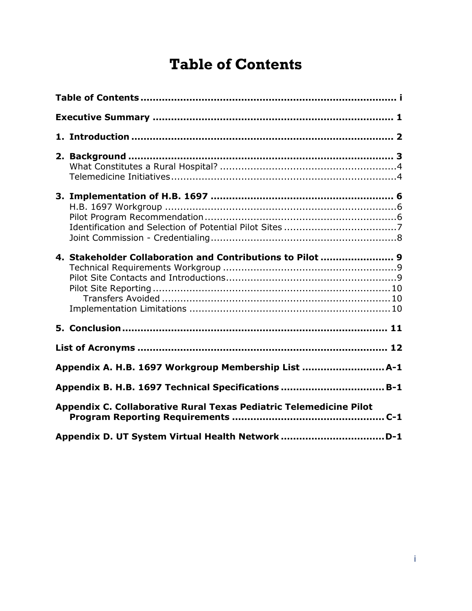# <span id="page-1-0"></span>**Table of Contents**

| 4. Stakeholder Collaboration and Contributions to Pilot  9         |  |  |  |
|--------------------------------------------------------------------|--|--|--|
|                                                                    |  |  |  |
|                                                                    |  |  |  |
| Appendix A. H.B. 1697 Workgroup Membership List  A-1               |  |  |  |
| Appendix B. H.B. 1697 Technical Specifications  B-1                |  |  |  |
| Appendix C. Collaborative Rural Texas Pediatric Telemedicine Pilot |  |  |  |
| Appendix D. UT System Virtual Health Network D-1                   |  |  |  |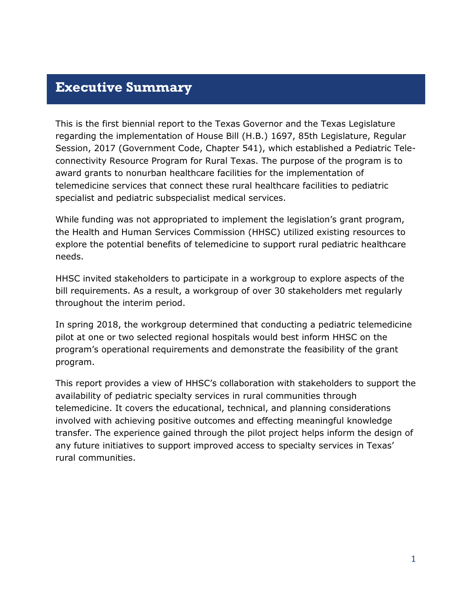### <span id="page-2-0"></span>**Executive Summary**

This is the first biennial report to the Texas Governor and the Texas Legislature regarding the implementation of House Bill (H.B.) 1697, 85th Legislature, Regular Session, 2017 (Government Code, Chapter 541), which established a Pediatric Teleconnectivity Resource Program for Rural Texas. The purpose of the program is to award grants to nonurban healthcare facilities for the implementation of telemedicine services that connect these rural healthcare facilities to pediatric specialist and pediatric subspecialist medical services.

While funding was not appropriated to implement the legislation's grant program, the Health and Human Services Commission (HHSC) utilized existing resources to explore the potential benefits of telemedicine to support rural pediatric healthcare needs.

HHSC invited stakeholders to participate in a workgroup to explore aspects of the bill requirements. As a result, a workgroup of over 30 stakeholders met regularly throughout the interim period.

In spring 2018, the workgroup determined that conducting a pediatric telemedicine pilot at one or two selected regional hospitals would best inform HHSC on the program's operational requirements and demonstrate the feasibility of the grant program.

This report provides a view of HHSC's collaboration with stakeholders to support the availability of pediatric specialty services in rural communities through telemedicine. It covers the educational, technical, and planning considerations involved with achieving positive outcomes and effecting meaningful knowledge transfer. The experience gained through the pilot project helps inform the design of any future initiatives to support improved access to specialty services in Texas' rural communities.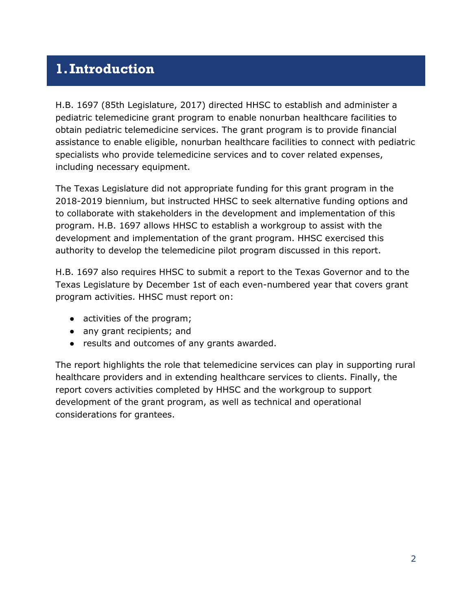### <span id="page-3-0"></span>**1.Introduction**

H.B. 1697 (85th Legislature, 2017) directed HHSC to establish and administer a pediatric telemedicine grant program to enable nonurban healthcare facilities to obtain pediatric telemedicine services. The grant program is to provide financial assistance to enable eligible, nonurban healthcare facilities to connect with pediatric specialists who provide telemedicine services and to cover related expenses, including necessary equipment.

The Texas Legislature did not appropriate funding for this grant program in the 2018-2019 biennium, but instructed HHSC to seek alternative funding options and to collaborate with stakeholders in the development and implementation of this program. H.B. 1697 allows HHSC to establish a workgroup to assist with the development and implementation of the grant program. HHSC exercised this authority to develop the telemedicine pilot program discussed in this report.

H.B. 1697 also requires HHSC to submit a report to the Texas Governor and to the Texas Legislature by December 1st of each even-numbered year that covers grant program activities. HHSC must report on:

- activities of the program;
- any grant recipients; and
- results and outcomes of any grants awarded.

The report highlights the role that telemedicine services can play in supporting rural healthcare providers and in extending healthcare services to clients. Finally, the report covers activities completed by HHSC and the workgroup to support development of the grant program, as well as technical and operational considerations for grantees.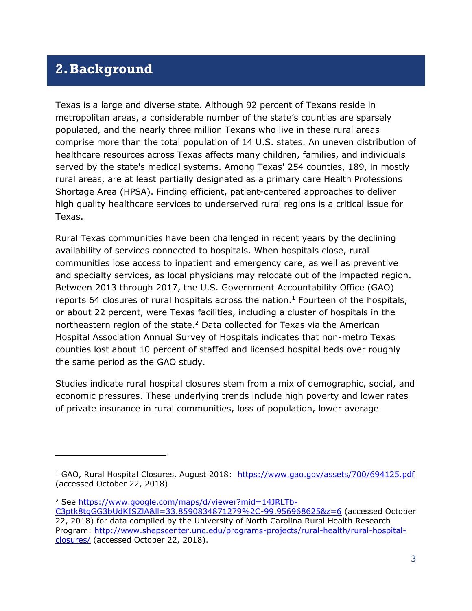### <span id="page-4-0"></span>**2.Background**

j

Texas is a large and diverse state. Although 92 percent of Texans reside in metropolitan areas, a considerable number of the state's counties are sparsely populated, and the nearly three million Texans who live in these rural areas comprise more than the total population of 14 U.S. states. An uneven distribution of healthcare resources across Texas affects many children, families, and individuals served by the state's medical systems. Among Texas' 254 counties, 189, in mostly rural areas, are at least partially designated as a primary care Health Professions Shortage Area (HPSA). Finding efficient, patient-centered approaches to deliver high quality healthcare services to underserved rural regions is a critical issue for Texas.

Rural Texas communities have been challenged in recent years by the declining availability of services connected to hospitals. When hospitals close, rural communities lose access to inpatient and emergency care, as well as preventive and specialty services, as local physicians may relocate out of the impacted region. Between 2013 through 2017, the U.S. Government Accountability Office (GAO) reports 64 closures of rural hospitals across the nation.<sup>1</sup> Fourteen of the hospitals, or about 22 percent, were Texas facilities, including a cluster of hospitals in the northeastern region of the state.<sup>2</sup> Data collected for Texas via the American Hospital Association Annual Survey of Hospitals indicates that non-metro Texas counties lost about 10 percent of staffed and licensed hospital beds over roughly the same period as the GAO study.

Studies indicate rural hospital closures stem from a mix of demographic, social, and economic pressures. These underlying trends include high poverty and lower rates of private insurance in rural communities, loss of population, lower average

<sup>&</sup>lt;sup>1</sup> GAO, Rural Hospital Closures, August 2018: <https://www.gao.gov/assets/700/694125.pdf> (accessed October 22, 2018)

<sup>2</sup> See [https://www.google.com/maps/d/viewer?mid=14JRLTb-](https://www.google.com/maps/d/viewer?mid=14JRLTb-C3ptk8tgGG3bUdKISZlA&ll=33.8590834871279%2C-99.956968625&z=6)

[C3ptk8tgGG3bUdKISZlA&ll=33.8590834871279%2C-99.956968625&z=6](https://www.google.com/maps/d/viewer?mid=14JRLTb-C3ptk8tgGG3bUdKISZlA&ll=33.8590834871279%2C-99.956968625&z=6) (accessed October 22, 2018) for data compiled by the University of North Carolina Rural Health Research Program: [http://www.shepscenter.unc.edu/programs-projects/rural-health/rural-hospital](http://www.shepscenter.unc.edu/programs-projects/rural-health/rural-hospital-closures/)[closures/](http://www.shepscenter.unc.edu/programs-projects/rural-health/rural-hospital-closures/) (accessed October 22, 2018).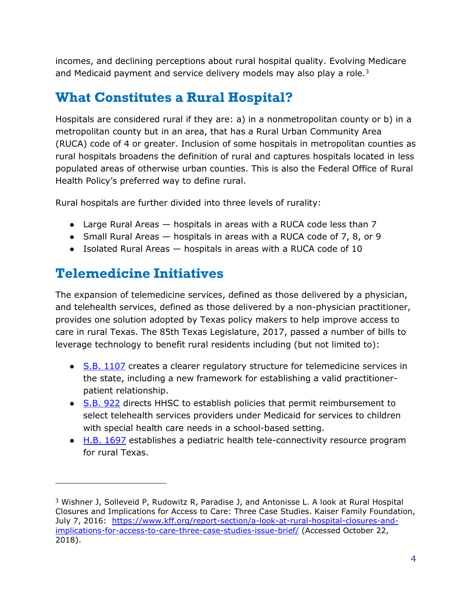incomes, and declining perceptions about rural hospital quality. Evolving Medicare and Medicaid payment and service delivery models may also play a role.<sup>3</sup>

## <span id="page-5-0"></span>**What Constitutes a Rural Hospital?**

Hospitals are considered rural if they are: a) in a nonmetropolitan county or b) in a metropolitan county but in an area, that has a Rural Urban Community Area (RUCA) code of 4 or greater. Inclusion of some hospitals in metropolitan counties as rural hospitals broadens the definition of rural and captures hospitals located in less populated areas of otherwise urban counties. This is also the Federal Office of Rural Health Policy's preferred way to define rural.

Rural hospitals are further divided into three levels of rurality:

- $\bullet$  Large Rural Areas  $-$  hospitals in areas with a RUCA code less than 7
- Small Rural Areas  $-$  hospitals in areas with a RUCA code of 7, 8, or 9
- Isolated Rural Areas hospitals in areas with a RUCA code of 10

## <span id="page-5-1"></span>**Telemedicine Initiatives**

 $\overline{a}$ 

The expansion of telemedicine services, defined as those delivered by a physician, and telehealth services, defined as those delivered by a non-physician practitioner, provides one solution adopted by Texas policy makers to help improve access to care in rural Texas. The 85th Texas Legislature, 2017, passed a number of bills to leverage technology to benefit rural residents including (but not limited to):

- [S.B. 1107](https://capitol.texas.gov/tlodocs/85R/analysis/pdf/SB01107F.pdf#navpanes=0) creates a clearer regulatory structure for telemedicine services in the state, including a new framework for establishing a valid practitionerpatient relationship.
- [S.B. 922](https://capitol.texas.gov/tlodocs/85R/analysis/pdf/SB00922F.pdf#navpanes=0) directs HHSC to establish policies that permit reimbursement to select telehealth services providers under Medicaid for services to children with special health care needs in a school-based setting.
- [H.B. 1697](https://capitol.texas.gov/BillLookup/Text.aspx?LegSess=85R&Bill=HB1697) establishes a pediatric health tele-connectivity resource program for rural Texas.

<sup>3</sup> Wishner J, Solleveid P, Rudowitz R, Paradise J, and Antonisse L. A look at Rural Hospital Closures and Implications for Access to Care: Three Case Studies. Kaiser Family Foundation, July 7, 2016: [https://www.kff.org/report-section/a-look-at-rural-hospital-closures-and](https://www.kff.org/report-section/a-look-at-rural-hospital-closures-and-implications-for-access-to-care-three-case-studies-issue-brief/)[implications-for-access-to-care-three-case-studies-issue-brief/](https://www.kff.org/report-section/a-look-at-rural-hospital-closures-and-implications-for-access-to-care-three-case-studies-issue-brief/) (Accessed October 22, 2018).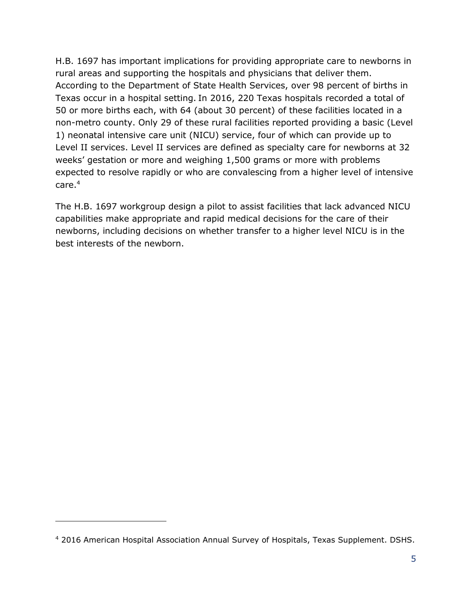H.B. 1697 has important implications for providing appropriate care to newborns in rural areas and supporting the hospitals and physicians that deliver them. According to the Department of State Health Services, over 98 percent of births in Texas occur in a hospital setting. In 2016, 220 Texas hospitals recorded a total of 50 or more births each, with 64 (about 30 percent) of these facilities located in a non-metro county. Only 29 of these rural facilities reported providing a basic (Level 1) neonatal intensive care unit (NICU) service, four of which can provide up to Level II services. Level II services are defined as specialty care for newborns at 32 weeks' gestation or more and weighing 1,500 grams or more with problems expected to resolve rapidly or who are convalescing from a higher level of intensive care.<sup>4</sup>

The H.B. 1697 workgroup design a pilot to assist facilities that lack advanced NICU capabilities make appropriate and rapid medical decisions for the care of their newborns, including decisions on whether transfer to a higher level NICU is in the best interests of the newborn.

 $\overline{a}$ 

<sup>4</sup> 2016 American Hospital Association Annual Survey of Hospitals, Texas Supplement. DSHS.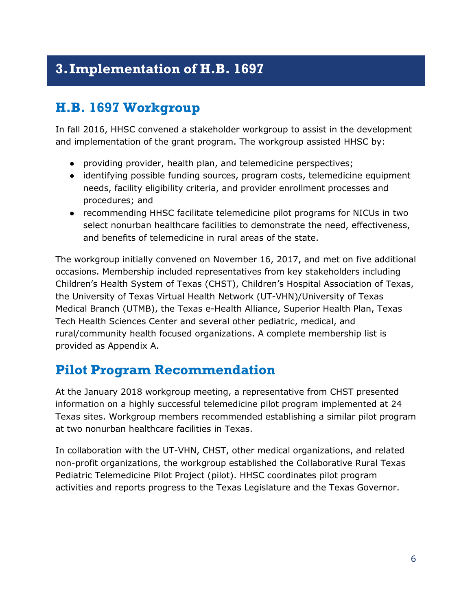## <span id="page-7-0"></span>**3.Implementation of H.B. 1697**

### <span id="page-7-1"></span>**H.B. 1697 Workgroup**

In fall 2016, HHSC convened a stakeholder workgroup to assist in the development and implementation of the grant program. The workgroup assisted HHSC by:

- providing provider, health plan, and telemedicine perspectives;
- identifying possible funding sources, program costs, telemedicine equipment needs, facility eligibility criteria, and provider enrollment processes and procedures; and
- recommending HHSC facilitate telemedicine pilot programs for NICUs in two select nonurban healthcare facilities to demonstrate the need, effectiveness, and benefits of telemedicine in rural areas of the state.

The workgroup initially convened on November 16, 2017, and met on five additional occasions. Membership included representatives from key stakeholders including Children's Health System of Texas (CHST), Children's Hospital Association of Texas, the University of Texas Virtual Health Network (UT-VHN)/University of Texas Medical Branch (UTMB), the Texas e-Health Alliance, Superior Health Plan, Texas Tech Health Sciences Center and several other pediatric, medical, and rural/community health focused organizations. A complete membership list is provided as Appendix A.

### <span id="page-7-2"></span>**Pilot Program Recommendation**

At the January 2018 workgroup meeting, a representative from CHST presented information on a highly successful telemedicine pilot program implemented at 24 Texas sites. Workgroup members recommended establishing a similar pilot program at two nonurban healthcare facilities in Texas.

In collaboration with the UT-VHN, CHST, other medical organizations, and related non-profit organizations, the workgroup established the Collaborative Rural Texas Pediatric Telemedicine Pilot Project (pilot). HHSC coordinates pilot program activities and reports progress to the Texas Legislature and the Texas Governor.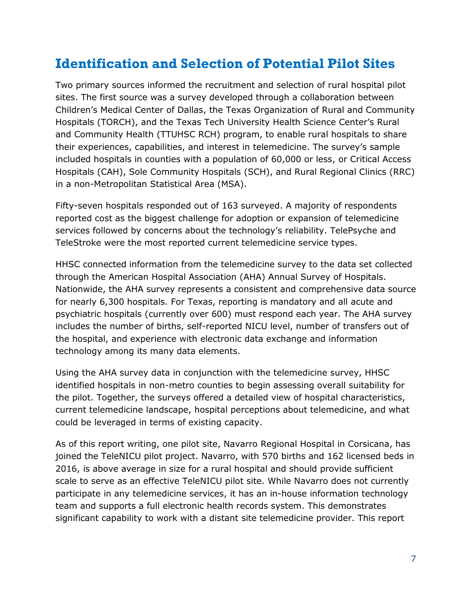## <span id="page-8-0"></span>**Identification and Selection of Potential Pilot Sites**

Two primary sources informed the recruitment and selection of rural hospital pilot sites. The first source was a survey developed through a collaboration between Children's Medical Center of Dallas, the Texas Organization of Rural and Community Hospitals (TORCH), and the Texas Tech University Health Science Center's Rural and Community Health (TTUHSC RCH) program, to enable rural hospitals to share their experiences, capabilities, and interest in telemedicine. The survey's sample included hospitals in counties with a population of 60,000 or less, or Critical Access Hospitals (CAH), Sole Community Hospitals (SCH), and Rural Regional Clinics (RRC) in a non-Metropolitan Statistical Area (MSA).

Fifty-seven hospitals responded out of 163 surveyed. A majority of respondents reported cost as the biggest challenge for adoption or expansion of telemedicine services followed by concerns about the technology's reliability. TelePsyche and TeleStroke were the most reported current telemedicine service types.

HHSC connected information from the telemedicine survey to the data set collected through the American Hospital Association (AHA) Annual Survey of Hospitals. Nationwide, the AHA survey represents a consistent and comprehensive data source for nearly 6,300 hospitals. For Texas, reporting is mandatory and all acute and psychiatric hospitals (currently over 600) must respond each year. The AHA survey includes the number of births, self-reported NICU level, number of transfers out of the hospital, and experience with electronic data exchange and information technology among its many data elements.

Using the AHA survey data in conjunction with the telemedicine survey, HHSC identified hospitals in non-metro counties to begin assessing overall suitability for the pilot. Together, the surveys offered a detailed view of hospital characteristics, current telemedicine landscape, hospital perceptions about telemedicine, and what could be leveraged in terms of existing capacity.

As of this report writing, one pilot site, Navarro Regional Hospital in Corsicana, has joined the TeleNICU pilot project. Navarro, with 570 births and 162 licensed beds in 2016, is above average in size for a rural hospital and should provide sufficient scale to serve as an effective TeleNICU pilot site. While Navarro does not currently participate in any telemedicine services, it has an in-house information technology team and supports a full electronic health records system. This demonstrates significant capability to work with a distant site telemedicine provider. This report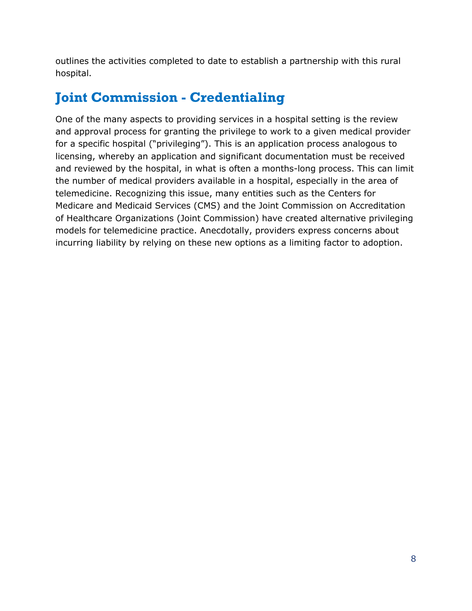outlines the activities completed to date to establish a partnership with this rural hospital.

# <span id="page-9-0"></span>**Joint Commission - Credentialing**

One of the many aspects to providing services in a hospital setting is the review and approval process for granting the privilege to work to a given medical provider for a specific hospital ("privileging"). This is an application process analogous to licensing, whereby an application and significant documentation must be received and reviewed by the hospital, in what is often a months-long process. This can limit the number of medical providers available in a hospital, especially in the area of telemedicine. Recognizing this issue, many entities such as the Centers for Medicare and Medicaid Services (CMS) and the Joint Commission on Accreditation of Healthcare Organizations (Joint Commission) have created alternative privileging models for telemedicine practice. Anecdotally, providers express concerns about incurring liability by relying on these new options as a limiting factor to adoption.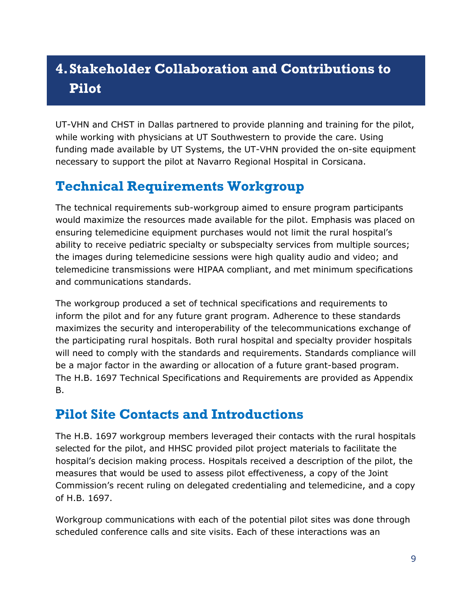# <span id="page-10-0"></span>**4.Stakeholder Collaboration and Contributions to Pilot**

UT-VHN and CHST in Dallas partnered to provide planning and training for the pilot, while working with physicians at UT Southwestern to provide the care. Using funding made available by UT Systems, the UT-VHN provided the on-site equipment necessary to support the pilot at Navarro Regional Hospital in Corsicana.

# <span id="page-10-1"></span>**Technical Requirements Workgroup**

The technical requirements sub-workgroup aimed to ensure program participants would maximize the resources made available for the pilot. Emphasis was placed on ensuring telemedicine equipment purchases would not limit the rural hospital's ability to receive pediatric specialty or subspecialty services from multiple sources; the images during telemedicine sessions were high quality audio and video; and telemedicine transmissions were HIPAA compliant, and met minimum specifications and communications standards.

The workgroup produced a set of technical specifications and requirements to inform the pilot and for any future grant program. Adherence to these standards maximizes the security and interoperability of the telecommunications exchange of the participating rural hospitals. Both rural hospital and specialty provider hospitals will need to comply with the standards and requirements. Standards compliance will be a major factor in the awarding or allocation of a future grant-based program. The H.B. 1697 Technical Specifications and Requirements are provided as Appendix B.

### <span id="page-10-2"></span>**Pilot Site Contacts and Introductions**

The H.B. 1697 workgroup members leveraged their contacts with the rural hospitals selected for the pilot, and HHSC provided pilot project materials to facilitate the hospital's decision making process. Hospitals received a description of the pilot, the measures that would be used to assess pilot effectiveness, a copy of the Joint Commission's recent ruling on delegated credentialing and telemedicine, and a copy of H.B. 1697.

Workgroup communications with each of the potential pilot sites was done through scheduled conference calls and site visits. Each of these interactions was an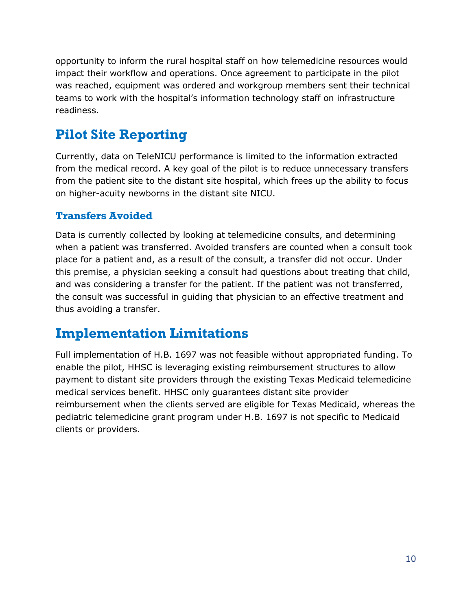opportunity to inform the rural hospital staff on how telemedicine resources would impact their workflow and operations. Once agreement to participate in the pilot was reached, equipment was ordered and workgroup members sent their technical teams to work with the hospital's information technology staff on infrastructure readiness.

## <span id="page-11-0"></span>**Pilot Site Reporting**

Currently, data on TeleNICU performance is limited to the information extracted from the medical record. A key goal of the pilot is to reduce unnecessary transfers from the patient site to the distant site hospital, which frees up the ability to focus on higher-acuity newborns in the distant site NICU.

#### <span id="page-11-1"></span>**Transfers Avoided**

Data is currently collected by looking at telemedicine consults, and determining when a patient was transferred. Avoided transfers are counted when a consult took place for a patient and, as a result of the consult, a transfer did not occur. Under this premise, a physician seeking a consult had questions about treating that child, and was considering a transfer for the patient. If the patient was not transferred, the consult was successful in guiding that physician to an effective treatment and thus avoiding a transfer.

### <span id="page-11-2"></span>**Implementation Limitations**

Full implementation of H.B. 1697 was not feasible without appropriated funding. To enable the pilot, HHSC is leveraging existing reimbursement structures to allow payment to distant site providers through the existing Texas Medicaid telemedicine medical services benefit. HHSC only guarantees distant site provider reimbursement when the clients served are eligible for Texas Medicaid, whereas the pediatric telemedicine grant program under H.B. 1697 is not specific to Medicaid clients or providers.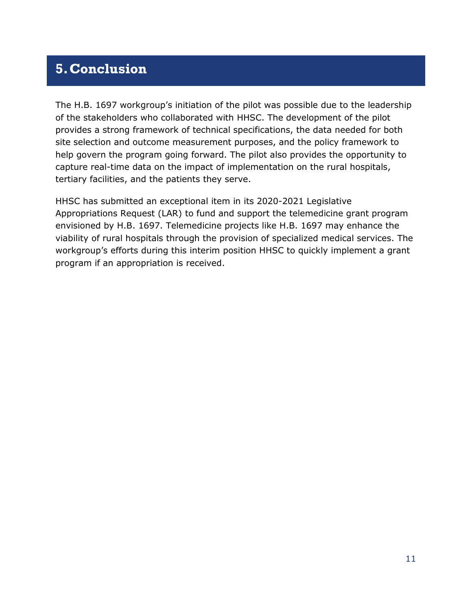### <span id="page-12-0"></span>**5.Conclusion**

The H.B. 1697 workgroup's initiation of the pilot was possible due to the leadership of the stakeholders who collaborated with HHSC. The development of the pilot provides a strong framework of technical specifications, the data needed for both site selection and outcome measurement purposes, and the policy framework to help govern the program going forward. The pilot also provides the opportunity to capture real-time data on the impact of implementation on the rural hospitals, tertiary facilities, and the patients they serve.

HHSC has submitted an exceptional item in its 2020-2021 Legislative Appropriations Request (LAR) to fund and support the telemedicine grant program envisioned by H.B. 1697. Telemedicine projects like H.B. 1697 may enhance the viability of rural hospitals through the provision of specialized medical services. The workgroup's efforts during this interim position HHSC to quickly implement a grant program if an appropriation is received.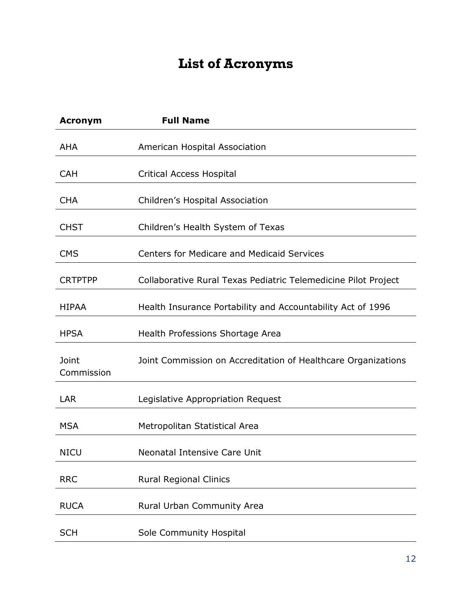# **List of Acronyms**

<span id="page-13-0"></span>

| <b>Acronym</b>      | <b>Full Name</b>                                               |
|---------------------|----------------------------------------------------------------|
| <b>AHA</b>          | American Hospital Association                                  |
| <b>CAH</b>          | <b>Critical Access Hospital</b>                                |
| <b>CHA</b>          | Children's Hospital Association                                |
| <b>CHST</b>         | Children's Health System of Texas                              |
| <b>CMS</b>          | <b>Centers for Medicare and Medicaid Services</b>              |
| <b>CRTPTPP</b>      | Collaborative Rural Texas Pediatric Telemedicine Pilot Project |
| <b>HIPAA</b>        | Health Insurance Portability and Accountability Act of 1996    |
| <b>HPSA</b>         | Health Professions Shortage Area                               |
| Joint<br>Commission | Joint Commission on Accreditation of Healthcare Organizations  |
| LAR                 | Legislative Appropriation Request                              |
| <b>MSA</b>          | Metropolitan Statistical Area                                  |
| <b>NICU</b>         | Neonatal Intensive Care Unit                                   |
| <b>RRC</b>          | <b>Rural Regional Clinics</b>                                  |
| <b>RUCA</b>         | Rural Urban Community Area                                     |
| <b>SCH</b>          | Sole Community Hospital                                        |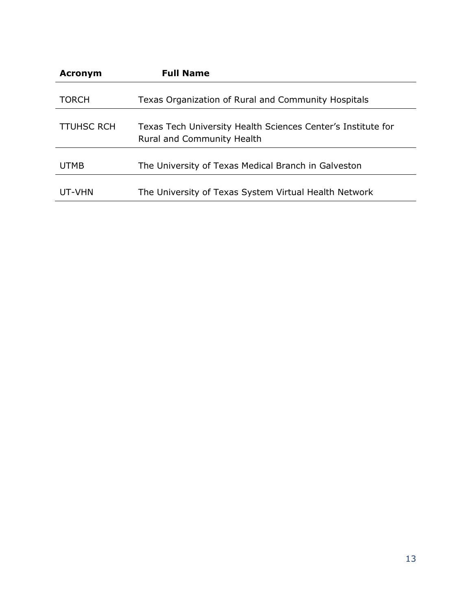| <b>Acronym</b>    | <b>Full Name</b>                                                                                  |
|-------------------|---------------------------------------------------------------------------------------------------|
| <b>TORCH</b>      | Texas Organization of Rural and Community Hospitals                                               |
| <b>TTUHSC RCH</b> | Texas Tech University Health Sciences Center's Institute for<br><b>Rural and Community Health</b> |
| <b>UTMB</b>       | The University of Texas Medical Branch in Galveston                                               |
| UT-VHN            | The University of Texas System Virtual Health Network                                             |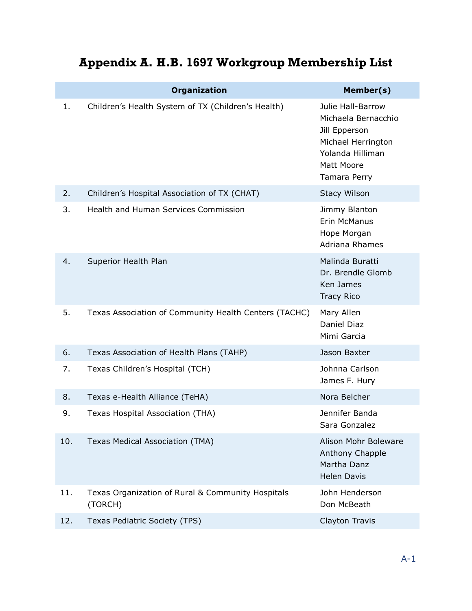|  |  |  | Appendix A. H.B. 1697 Workgroup Membership List |  |
|--|--|--|-------------------------------------------------|--|
|--|--|--|-------------------------------------------------|--|

<span id="page-15-0"></span>

|  |     | <b>Organization</b>                                          | Member(s)                                                                                                                         |
|--|-----|--------------------------------------------------------------|-----------------------------------------------------------------------------------------------------------------------------------|
|  | 1.  | Children's Health System of TX (Children's Health)           | Julie Hall-Barrow<br>Michaela Bernacchio<br>Jill Epperson<br>Michael Herrington<br>Yolanda Hilliman<br>Matt Moore<br>Tamara Perry |
|  | 2.  | Children's Hospital Association of TX (CHAT)                 | <b>Stacy Wilson</b>                                                                                                               |
|  | 3.  | Health and Human Services Commission                         | Jimmy Blanton<br>Erin McManus<br>Hope Morgan<br>Adriana Rhames                                                                    |
|  | 4.  | Superior Health Plan                                         | Malinda Buratti<br>Dr. Brendle Glomb<br>Ken James<br><b>Tracy Rico</b>                                                            |
|  | 5.  | Texas Association of Community Health Centers (TACHC)        | Mary Allen<br>Daniel Diaz<br>Mimi Garcia                                                                                          |
|  | 6.  | Texas Association of Health Plans (TAHP)                     | Jason Baxter                                                                                                                      |
|  | 7.  | Texas Children's Hospital (TCH)                              | Johnna Carlson<br>James F. Hury                                                                                                   |
|  | 8.  | Texas e-Health Alliance (TeHA)                               | Nora Belcher                                                                                                                      |
|  | 9.  | Texas Hospital Association (THA)                             | Jennifer Banda<br>Sara Gonzalez                                                                                                   |
|  | 10. | Texas Medical Association (TMA)                              | Alison Mohr Boleware<br>Anthony Chapple<br>Martha Danz<br><b>Helen Davis</b>                                                      |
|  | 11. | Texas Organization of Rural & Community Hospitals<br>(TORCH) | John Henderson<br>Don McBeath                                                                                                     |
|  | 12. | Texas Pediatric Society (TPS)                                | Clayton Travis                                                                                                                    |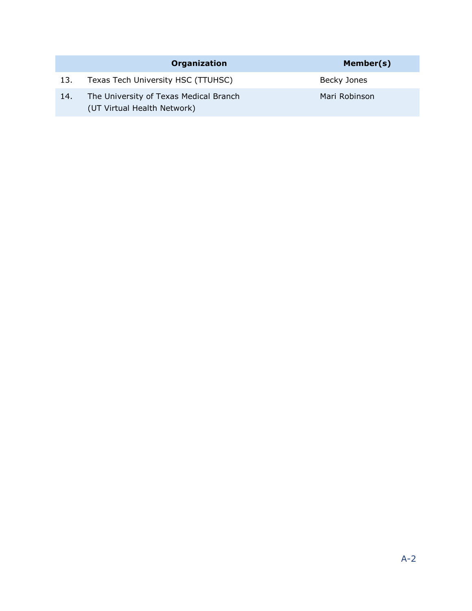|     | Organization                                                          | Member(s)     |
|-----|-----------------------------------------------------------------------|---------------|
| 13. | Texas Tech University HSC (TTUHSC)                                    | Becky Jones   |
| 14. | The University of Texas Medical Branch<br>(UT Virtual Health Network) | Mari Robinson |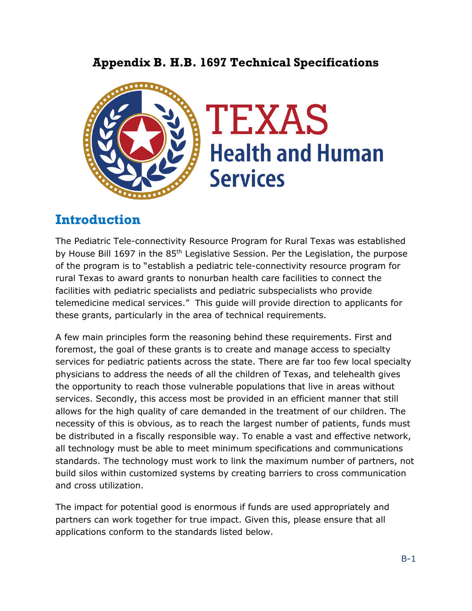### **Appendix B. H.B. 1697 Technical Specifications**

<span id="page-17-0"></span>

### **Introduction**

The Pediatric Tele-connectivity Resource Program for Rural Texas was established by House Bill 1697 in the 85<sup>th</sup> Legislative Session. Per the Legislation, the purpose of the program is to "establish a pediatric tele-connectivity resource program for rural Texas to award grants to nonurban health care facilities to connect the facilities with pediatric specialists and pediatric subspecialists who provide telemedicine medical services." This guide will provide direction to applicants for these grants, particularly in the area of technical requirements.

A few main principles form the reasoning behind these requirements. First and foremost, the goal of these grants is to create and manage access to specialty services for pediatric patients across the state. There are far too few local specialty physicians to address the needs of all the children of Texas, and telehealth gives the opportunity to reach those vulnerable populations that live in areas without services. Secondly, this access most be provided in an efficient manner that still allows for the high quality of care demanded in the treatment of our children. The necessity of this is obvious, as to reach the largest number of patients, funds must be distributed in a fiscally responsible way. To enable a vast and effective network, all technology must be able to meet minimum specifications and communications standards. The technology must work to link the maximum number of partners, not build silos within customized systems by creating barriers to cross communication and cross utilization.

The impact for potential good is enormous if funds are used appropriately and partners can work together for true impact. Given this, please ensure that all applications conform to the standards listed below.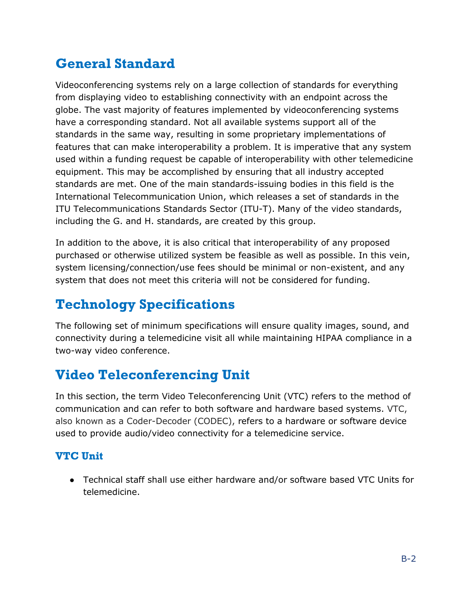## **General Standard**

Videoconferencing systems rely on a large collection of standards for everything from displaying video to establishing connectivity with an endpoint across the globe. The vast majority of features implemented by videoconferencing systems have a corresponding standard. Not all available systems support all of the standards in the same way, resulting in some proprietary implementations of features that can make interoperability a problem. It is imperative that any system used within a funding request be capable of interoperability with other telemedicine equipment. This may be accomplished by ensuring that all industry accepted standards are met. One of the main standards-issuing bodies in this field is the International Telecommunication Union, which releases a set of standards in the ITU Telecommunications Standards Sector (ITU-T). Many of the video standards, including the G. and H. standards, are created by this group.

In addition to the above, it is also critical that interoperability of any proposed purchased or otherwise utilized system be feasible as well as possible. In this vein, system licensing/connection/use fees should be minimal or non-existent, and any system that does not meet this criteria will not be considered for funding.

# **Technology Specifications**

The following set of minimum specifications will ensure quality images, sound, and connectivity during a telemedicine visit all while maintaining HIPAA compliance in a two-way video conference.

## **Video Teleconferencing Unit**

In this section, the term Video Teleconferencing Unit (VTC) refers to the method of communication and can refer to both software and hardware based systems. VTC, also known as a Coder-Decoder (CODEC), refers to a hardware or software device used to provide audio/video connectivity for a telemedicine service.

### **VTC Unit**

● Technical staff shall use either hardware and/or software based VTC Units for telemedicine.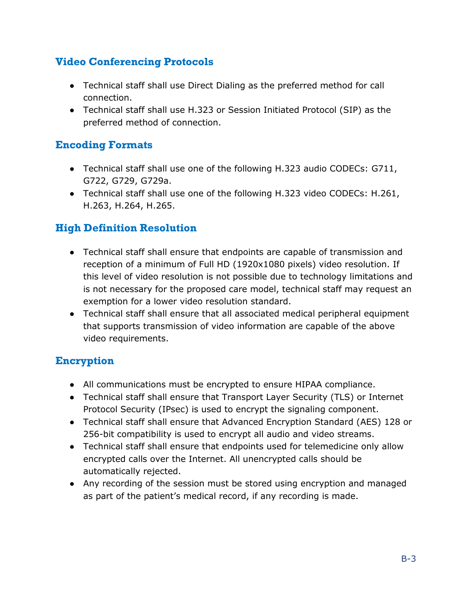### **Video Conferencing Protocols**

- Technical staff shall use Direct Dialing as the preferred method for call connection.
- Technical staff shall use H.323 or Session Initiated Protocol (SIP) as the preferred method of connection.

#### **Encoding Formats**

- Technical staff shall use one of the following H.323 audio CODECs: G711, G722, G729, G729a.
- Technical staff shall use one of the following H.323 video CODECs: H.261, H.263, H.264, H.265.

### **High Definition Resolution**

- Technical staff shall ensure that endpoints are capable of transmission and reception of a minimum of Full HD (1920x1080 pixels) video resolution. If this level of video resolution is not possible due to technology limitations and is not necessary for the proposed care model, technical staff may request an exemption for a lower video resolution standard.
- Technical staff shall ensure that all associated medical peripheral equipment that supports transmission of video information are capable of the above video requirements.

#### **Encryption**

- All communications must be encrypted to ensure HIPAA compliance.
- Technical staff shall ensure that Transport Layer Security (TLS) or Internet Protocol Security (IPsec) is used to encrypt the signaling component.
- Technical staff shall ensure that Advanced Encryption Standard (AES) 128 or 256-bit compatibility is used to encrypt all audio and video streams.
- Technical staff shall ensure that endpoints used for telemedicine only allow encrypted calls over the Internet. All unencrypted calls should be automatically rejected.
- Any recording of the session must be stored using encryption and managed as part of the patient's medical record, if any recording is made.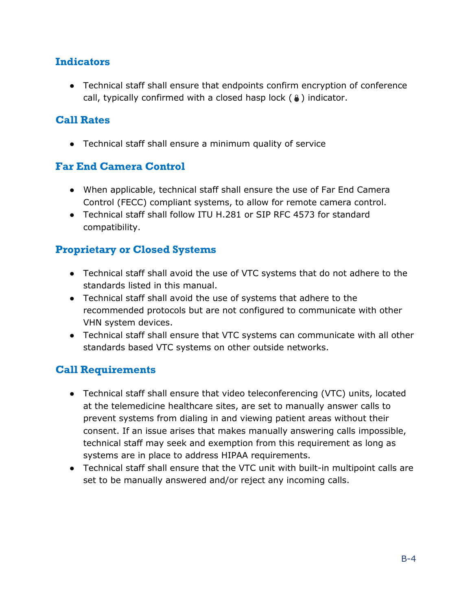#### **Indicators**

● Technical staff shall ensure that endpoints confirm encryption of conference call, typically confirmed with a closed hasp lock  $(\circledast)$  indicator.

#### **Call Rates**

● Technical staff shall ensure a minimum quality of service

#### **Far End Camera Control**

- When applicable, technical staff shall ensure the use of Far End Camera Control (FECC) compliant systems, to allow for remote camera control.
- Technical staff shall follow ITU H.281 or SIP RFC 4573 for standard compatibility.

#### **Proprietary or Closed Systems**

- Technical staff shall avoid the use of VTC systems that do not adhere to the standards listed in this manual.
- Technical staff shall avoid the use of systems that adhere to the recommended protocols but are not configured to communicate with other VHN system devices.
- Technical staff shall ensure that VTC systems can communicate with all other standards based VTC systems on other outside networks.

#### **Call Requirements**

- Technical staff shall ensure that video teleconferencing (VTC) units, located at the telemedicine healthcare sites, are set to manually answer calls to prevent systems from dialing in and viewing patient areas without their consent. If an issue arises that makes manually answering calls impossible, technical staff may seek and exemption from this requirement as long as systems are in place to address HIPAA requirements.
- Technical staff shall ensure that the VTC unit with built-in multipoint calls are set to be manually answered and/or reject any incoming calls.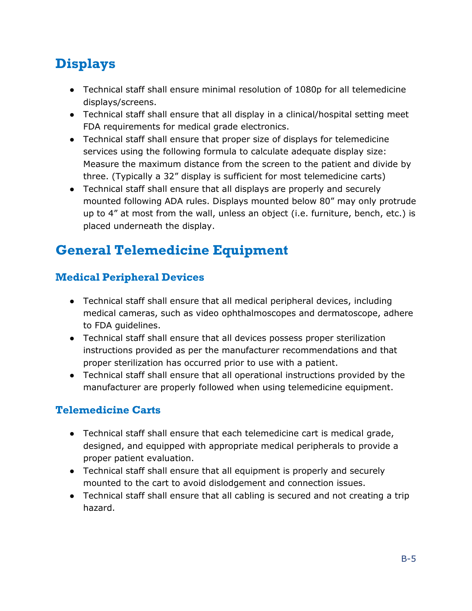# **Displays**

- Technical staff shall ensure minimal resolution of 1080p for all telemedicine displays/screens.
- Technical staff shall ensure that all display in a clinical/hospital setting meet FDA requirements for medical grade electronics.
- Technical staff shall ensure that proper size of displays for telemedicine services using the following formula to calculate adequate display size: Measure the maximum distance from the screen to the patient and divide by three. (Typically a 32" display is sufficient for most telemedicine carts)
- Technical staff shall ensure that all displays are properly and securely mounted following ADA rules. Displays mounted below 80" may only protrude up to 4" at most from the wall, unless an object (i.e. furniture, bench, etc.) is placed underneath the display.

# **General Telemedicine Equipment**

### **Medical Peripheral Devices**

- Technical staff shall ensure that all medical peripheral devices, including medical cameras, such as video ophthalmoscopes and dermatoscope, adhere to FDA guidelines.
- Technical staff shall ensure that all devices possess proper sterilization instructions provided as per the manufacturer recommendations and that proper sterilization has occurred prior to use with a patient.
- Technical staff shall ensure that all operational instructions provided by the manufacturer are properly followed when using telemedicine equipment.

### **Telemedicine Carts**

- Technical staff shall ensure that each telemedicine cart is medical grade, designed, and equipped with appropriate medical peripherals to provide a proper patient evaluation.
- Technical staff shall ensure that all equipment is properly and securely mounted to the cart to avoid dislodgement and connection issues.
- Technical staff shall ensure that all cabling is secured and not creating a trip hazard.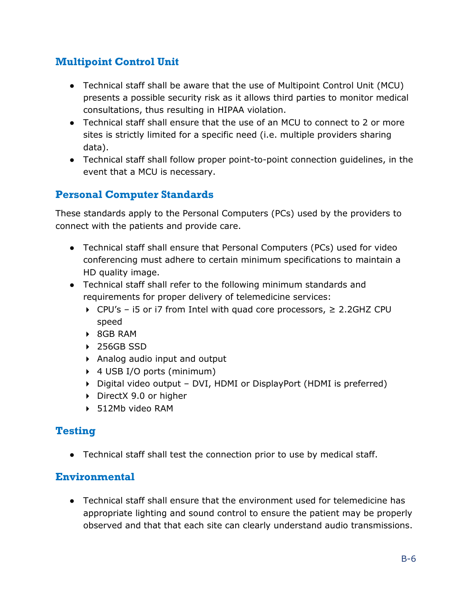### **Multipoint Control Unit**

- Technical staff shall be aware that the use of Multipoint Control Unit (MCU) presents a possible security risk as it allows third parties to monitor medical consultations, thus resulting in HIPAA violation.
- Technical staff shall ensure that the use of an MCU to connect to 2 or more sites is strictly limited for a specific need (i.e. multiple providers sharing data).
- Technical staff shall follow proper point-to-point connection guidelines, in the event that a MCU is necessary.

### **Personal Computer Standards**

These standards apply to the Personal Computers (PCs) used by the providers to connect with the patients and provide care.

- Technical staff shall ensure that Personal Computers (PCs) used for video conferencing must adhere to certain minimum specifications to maintain a HD quality image.
- Technical staff shall refer to the following minimum standards and requirements for proper delivery of telemedicine services:
	- CPU's i5 or i7 from Intel with quad core processors, ≥ 2.2GHZ CPU speed
	- 8GB RAM
	- ▶ 256GB SSD
	- Analog audio input and output
	- ▶ 4 USB I/O ports (minimum)
	- Digital video output DVI, HDMI or DisplayPort (HDMI is preferred)
	- ▶ DirectX 9.0 or higher
	- ▶ 512Mb video RAM

#### **Testing**

● Technical staff shall test the connection prior to use by medical staff.

#### **Environmental**

• Technical staff shall ensure that the environment used for telemedicine has appropriate lighting and sound control to ensure the patient may be properly observed and that that each site can clearly understand audio transmissions.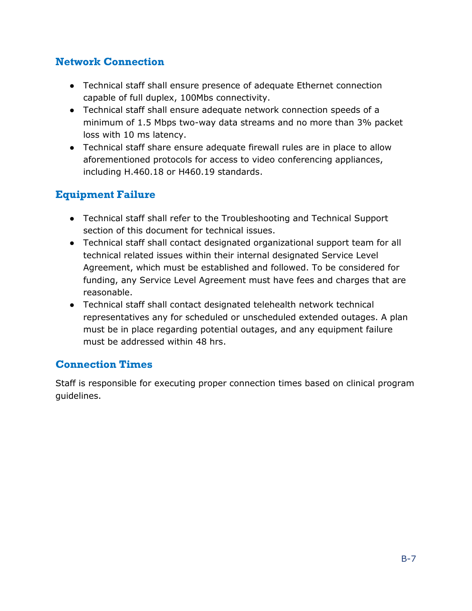### **Network Connection**

- Technical staff shall ensure presence of adequate Ethernet connection capable of full duplex, 100Mbs connectivity.
- Technical staff shall ensure adequate network connection speeds of a minimum of 1.5 Mbps two-way data streams and no more than 3% packet loss with 10 ms latency.
- Technical staff share ensure adequate firewall rules are in place to allow aforementioned protocols for access to video conferencing appliances, including H.460.18 or H460.19 standards.

### **Equipment Failure**

- Technical staff shall refer to the Troubleshooting and Technical Support section of this document for technical issues.
- Technical staff shall contact designated organizational support team for all technical related issues within their internal designated Service Level Agreement, which must be established and followed. To be considered for funding, any Service Level Agreement must have fees and charges that are reasonable.
- Technical staff shall contact designated telehealth network technical representatives any for scheduled or unscheduled extended outages. A plan must be in place regarding potential outages, and any equipment failure must be addressed within 48 hrs.

#### **Connection Times**

Staff is responsible for executing proper connection times based on clinical program guidelines.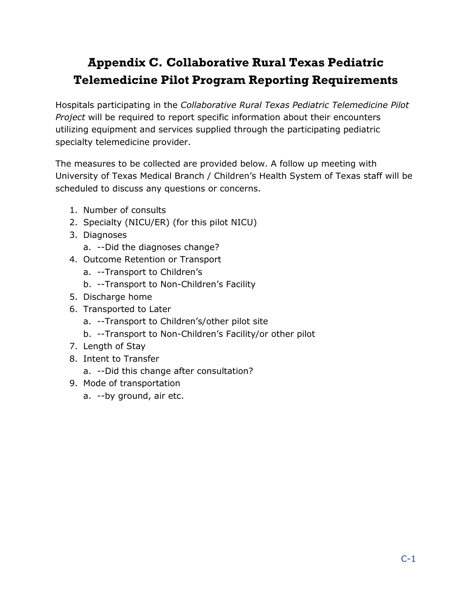## <span id="page-24-0"></span>**Appendix C. Collaborative Rural Texas Pediatric Telemedicine Pilot Program Reporting Requirements**

Hospitals participating in the *Collaborative Rural Texas Pediatric Telemedicine Pilot Project* will be required to report specific information about their encounters utilizing equipment and services supplied through the participating pediatric specialty telemedicine provider.

The measures to be collected are provided below. A follow up meeting with University of Texas Medical Branch / Children's Health System of Texas staff will be scheduled to discuss any questions or concerns.

- 1. Number of consults
- 2. Specialty (NICU/ER) (for this pilot NICU)
- 3. Diagnoses
	- a. --Did the diagnoses change?
- 4. Outcome Retention or Transport
	- a. --Transport to Children's
	- b. --Transport to Non-Children's Facility
- 5. Discharge home
- 6. Transported to Later
	- a. --Transport to Children's/other pilot site
	- b. --Transport to Non-Children's Facility/or other pilot
- 7. Length of Stay
- 8. Intent to Transfer
	- a. --Did this change after consultation?
- 9. Mode of transportation
	- a. --by ground, air etc.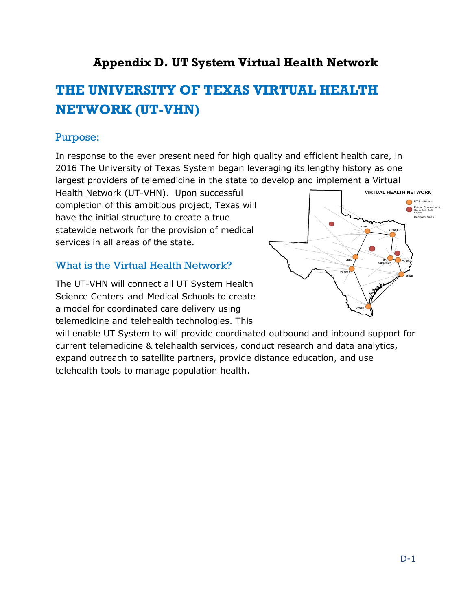### **Appendix D. UT System Virtual Health Network**

# <span id="page-25-0"></span>**THE UNIVERSITY OF TEXAS VIRTUAL HEALTH NETWORK (UT-VHN)**

#### Purpose:

In response to the ever present need for high quality and efficient health care, in 2016 The University of Texas System began leveraging its lengthy history as one largest providers of telemedicine in the state to develop and implement a Virtual

Health Network (UT-VHN). Upon successful completion of this ambitious project, Texas will have the initial structure to create a true statewide network for the provision of medical services in all areas of the state.

#### What is the Virtual Health Network?

The UT-VHN will connect all UT System Health Science Centers and Medical Schools to create a model for coordinated care delivery using telemedicine and telehealth technologies. This

will enable UT System to will provide coordinated outbound and inbound support for current telemedicine & telehealth services, conduct research and data analytics, expand outreach to satellite partners, provide distance education, and use telehealth tools to manage population health.